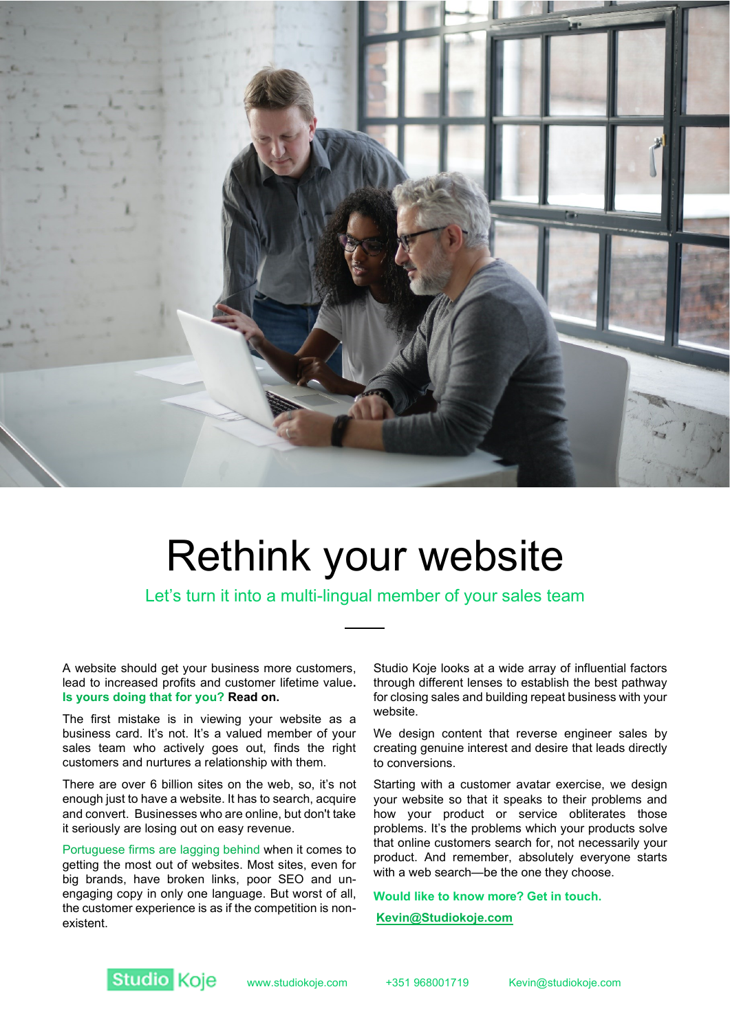

# Rethink your website

Let's turn it into a multi-lingual member of your sales team

A website should get your business more customers, lead to increased profits and customer lifetime value**. Is yours doing that for you? Read on.**

The first mistake is in viewing your website as a business card. It's not. It's a valued member of your sales team who actively goes out, finds the right customers and nurtures a relationship with them.

There are over 6 billion sites on the web, so, it's not enough just to have a website. It has to search, acquire and convert. Businesses who are online, but don't take it seriously are losing out on easy revenue.

Portuguese firms are lagging behind when it comes to getting the most out of websites. Most sites, even for big brands, have broken links, poor SEO and unengaging copy in only one language. But worst of all, the customer experience is as if the competition is nonexistent.

Studio Koje looks at a wide array of influential factors through different lenses to establish the best pathway for closing sales and building repeat business with your website.

We design content that reverse engineer sales by creating genuine interest and desire that leads directly to conversions.

Starting with a customer avatar exercise, we design your website so that it speaks to their problems and how your product or service obliterates those problems. It's the problems which your products solve that online customers search for, not necessarily your product. And remember, absolutely everyone starts with a web search—be the one they choose.

**Would like to know more? Get in touch.**

 **[Kevin@Studiokoje.com](mailto:Kevin@Studiokoje.com)**